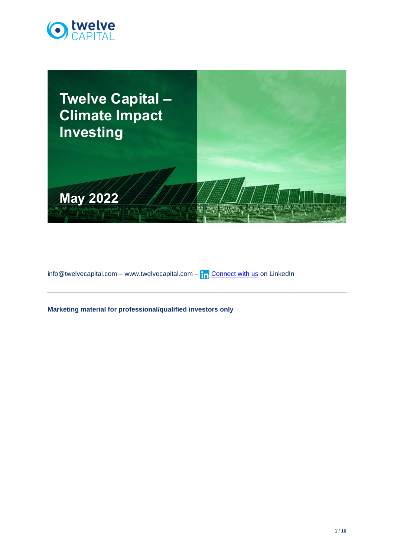



info@twelvecapital.com – www.twelvecapital.com –  $\ln$  [Connect with us](https://www.linkedin.com/company/twelve-capital) on LinkedIn

**Marketing material for professional/qualified investors only**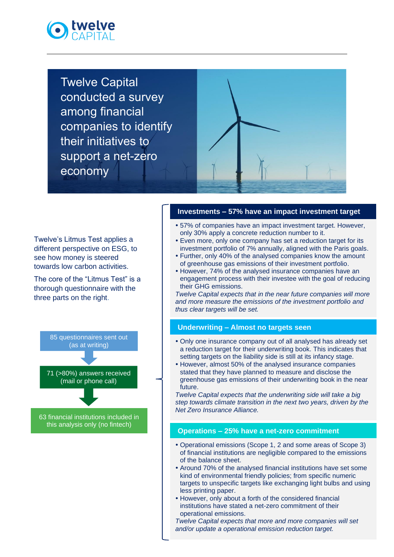

Twelve Capital conducted a survey among financial companies to identify their initiatives to support a net-zero economy



Twelve's Litmus Test applies a different perspective on ESG, to see how money is steered towards low carbon activities.

The core of the "Litmus Test" is a thorough questionnaire with the three parts on the right.



this analysis only (no fintech)

## **Investments – 57% have an impact investment target**

- 57% of companies have an impact investment target. However, only 30% apply a concrete reduction number to it.
- Even more, only one company has set a reduction target for its investment portfolio of 7% annually, aligned with the Paris goals.
- Further, only 40% of the analysed companies know the amount of greenhouse gas emissions of their investment portfolio.
- However, 74% of the analysed insurance companies have an engagement process with their investee with the goal of reducing their GHG emissions.

*Twelve Capital expects that in the near future companies will more and more measure the emissions of the investment portfolio and thus clear targets will be set.*

## **Underwriting – Almost no targets seen**

- Only one insurance company out of all analysed has already set a reduction target for their underwriting book. This indicates that setting targets on the liability side is still at its infancy stage.
- However, almost 50% of the analysed insurance companies stated that they have planned to measure and disclose the greenhouse gas emissions of their underwriting book in the near future.

*Twelve Capital expects that the underwriting side will take a big step towards climate transition in the next two years, driven by the Net Zero Insurance Alliance.*

## **Operations – 25% have a net-zero commitment**

- Operational emissions (Scope 1, 2 and some areas of Scope 3) of financial institutions are negligible compared to the emissions of the balance sheet.
- Around 70% of the analysed financial institutions have set some kind of environmental friendly policies; from specific numeric targets to unspecific targets like exchanging light bulbs and using less printing paper.
- However, only about a forth of the considered financial institutions have stated a net-zero commitment of their operational emissions.

*Twelve Capital expects that more and more companies will set and/or update a operational emission reduction target.*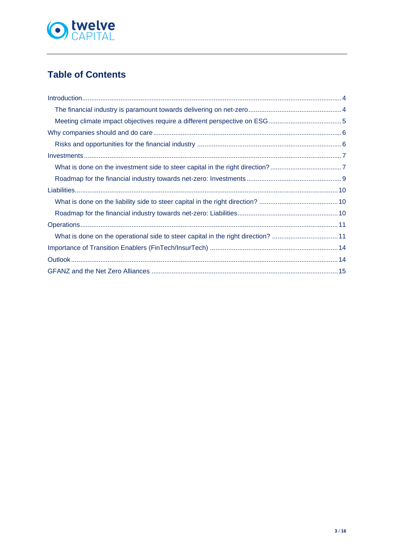

# **Table of Contents**

| What is done on the operational side to steer capital in the right direction? 11 |  |
|----------------------------------------------------------------------------------|--|
|                                                                                  |  |
|                                                                                  |  |
|                                                                                  |  |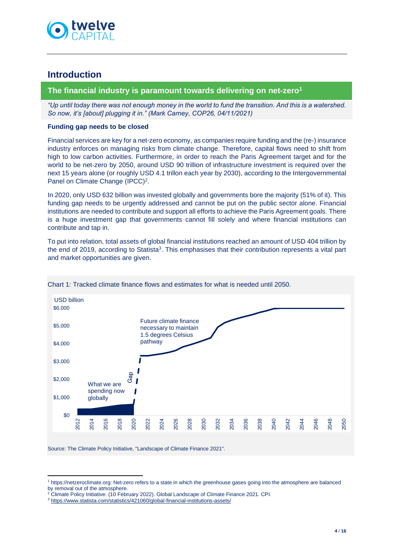

## <span id="page-3-0"></span>**Introduction**

### <span id="page-3-1"></span>**The financial industry is paramount towards delivering on net-zero<sup>1</sup>**

*"Up until today there was not enough money in the world to fund the transition. And this is a watershed. So now, it's [about] plugging it in." (Mark Carney, COP26, 04/11/2021)*

### **Funding gap needs to be closed**

Financial services are key for a net-zero economy, as companies require funding and the (re-) insurance industry enforces on managing risks from climate change. Therefore, capital flows need to shift from high to low carbon activities. Furthermore, in order to reach the Paris Agreement target and for the world to be net-zero by 2050, around USD 90 trillion of infrastructure investment is required over the next 15 years alone (or roughly USD 4.1 trillon each year by 2030), according to the Intergovernmental Panel on Climate Change (IPCC)<sup>2</sup>.

In 2020, only USD 632 billion was invested globally and governments bore the majority (51% of it). This funding gap needs to be urgently addressed and cannot be put on the public sector alone. Financial institutions are needed to contribute and support all efforts to achieve the Paris Agreement goals. There is a huge investment gap that governments cannot fill solely and where financial institutions can contribute and tap in.

To put into relation, total assets of global financial institutions reached an amount of USD 404 trillion by the end of 2019, according to Statista<sup>3</sup>. This emphasises that their contribution represents a vital part and market opportunities are given.



#### Chart 1: Tracked climate finance flows and estimates for what is needed until 2050.

Source: The Climate Policy Initiative, "Landscape of Climate Finance 2021".

<sup>1</sup> https://netzeroclimate.org: Net-zero refers to a state in which the greenhouse gases going into the atmosphere are balanced by removal out of the atmosphere.

<sup>2</sup> Climate Policy Initiative. (10 February 2022). Global Landscape of Climate Finance 2021. CPI.

<sup>3</sup> <https://www.statista.com/statistics/421060/global-financial-institutions-assets/>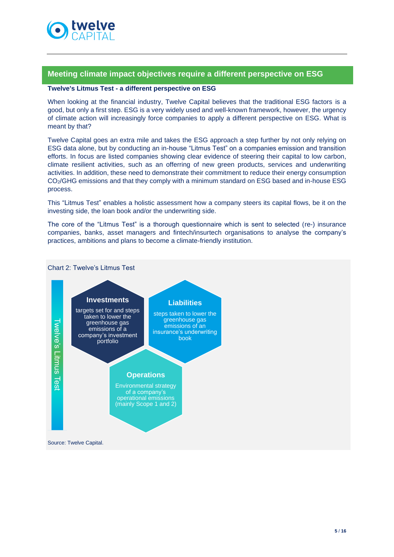

## <span id="page-4-0"></span>**Meeting climate impact objectives require a different perspective on ESG**

#### **Twelve's Litmus Test - a different perspective on ESG**

When looking at the financial industry, Twelve Capital believes that the traditional ESG factors is a good, but only a first step. ESG is a very widely used and well-known framework, however, the urgency of climate action will increasingly force companies to apply a different perspective on ESG. What is meant by that?

Twelve Capital goes an extra mile and takes the ESG approach a step further by not only relying on ESG data alone, but by conducting an in-house "Litmus Test" on a companies emission and transition efforts. In focus are listed companies showing clear evidence of steering their capital to low carbon, climate resilient activities, such as an offerring of new green products, services and underwriting activities. In addition, these need to demonstrate their commitment to reduce their energy consumption CO2/GHG emissions and that they comply with a minimum standard on ESG based and in-house ESG process.

This "Litmus Test" enables a holistic assessment how a company steers its capital flows, be it on the investing side, the loan book and/or the underwriting side.

The core of the "Litmus Test" is a thorough questionnaire which is sent to selected (re-) insurance companies, banks, asset managers and fintech/insurtech organisations to analyse the company's practices, ambitions and plans to become a climate-friendly institution.

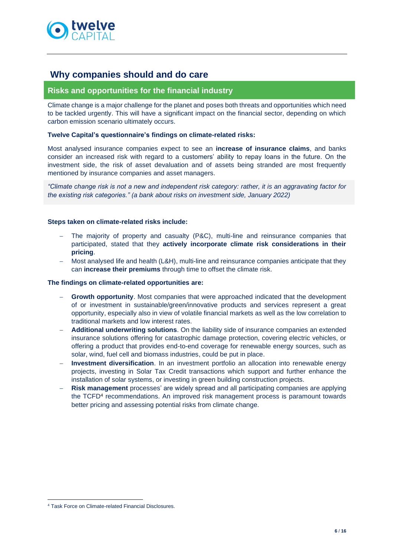

## <span id="page-5-0"></span>**Why companies should and do care**

## <span id="page-5-1"></span>**Risks and opportunities for the financial industry**

Climate change is a major challenge for the planet and poses both threats and opportunities which need to be tackled urgently. This will have a significant impact on the financial sector, depending on which carbon emission scenario ultimately occurs.

#### **Twelve Capital's questionnaire's findings on climate-related risks:**

Most analysed insurance companies expect to see an **increase of insurance claims**, and banks consider an increased risk with regard to a customers' ability to repay loans in the future. On the investment side, the risk of asset devaluation and of assets being stranded are most frequently mentioned by insurance companies and asset managers.

*"Climate change risk is not a new and independent risk category: rather, it is an aggravating factor for the existing risk categories." (a bank about risks on investment side, January 2022)*

#### **Steps taken on climate-related risks include:**

- The majority of property and casualty (P&C), multi-line and reinsurance companies that participated, stated that they **actively incorporate climate risk considerations in their pricing**.
- Most analysed life and health (L&H), multi-line and reinsurance companies anticipate that they can **increase their premiums** through time to offset the climate risk.

#### **The findings on climate-related opportunities are:**

- **Growth opportunity**. Most companies that were approached indicated that the development of or investment in sustainable/green/innovative products and services represent a great opportunity, especially also in view of volatile financial markets as well as the low correlation to traditional markets and low interest rates.
- − **Additional underwriting solutions**. On the liability side of insurance companies an extended insurance solutions offering for catastrophic damage protection, covering electric vehicles, or offering a product that provides end-to-end coverage for renewable energy sources, such as solar, wind, fuel cell and biomass industries, could be put in place.
- **Investment diversification**. In an investment portfolio an allocation into renewable energy projects, investing in Solar Tax Credit transactions which support and further enhance the installation of solar systems, or investing in green building construction projects.
- **Risk management** processes' are widely spread and all participating companies are applying the TCFD<sup>4</sup> recommendations. An improved risk management process is paramount towards better pricing and assessing potential risks from climate change.

<sup>4</sup> Task Force on Climate-related Financial Disclosures.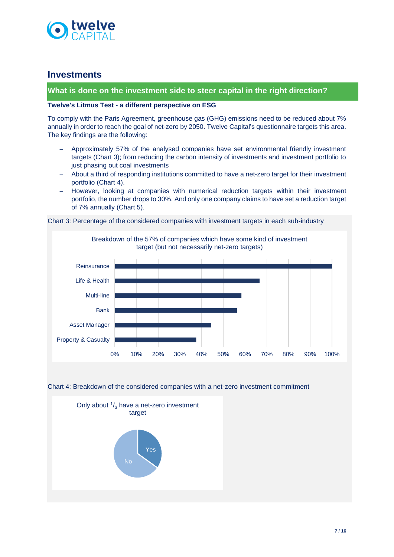

## <span id="page-6-0"></span>**Investments**

### <span id="page-6-1"></span>**What is done on the investment side to steer capital in the right direction?**

#### **Twelve's Litmus Test - a different perspective on ESG**

To comply with the Paris Agreement, greenhouse gas (GHG) emissions need to be reduced about 7% annually in order to reach the goal of net-zero by 2050. Twelve Capital's questionnaire targets this area. The key findings are the following:

- Approximately 57% of the analysed companies have set environmental friendly investment targets (Chart 3); from reducing the carbon intensity of investments and investment portfolio to just phasing out coal investments
- − About a third of responding institutions committed to have a net-zero target for their investment portfolio (Chart 4).
- − However, looking at companies with numerical reduction targets within their investment portfolio, the number drops to 30%. And only one company claims to have set a reduction target of 7% annually (Chart 5).

Chart 3: Percentage of the considered companies with investment targets in each sub-industry



Chart 4: Breakdown of the considered companies with a net-zero investment commitment

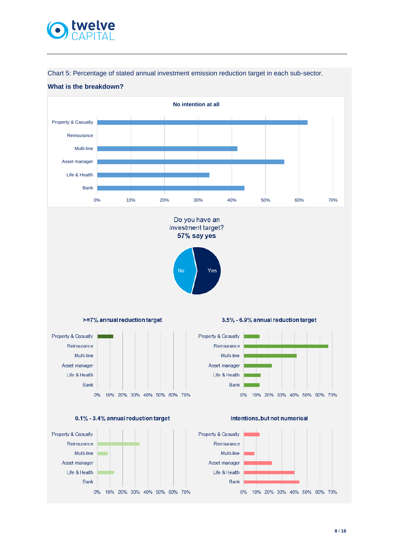

Chart 5: Percentage of stated annual investment emission reduction target in each sub-sector.



Do you have an investment target? 57% say yes

Yes

No

### **What is the breakdown?**



3.5% - 6.9% annual reduction target





10% 20% 30% 40% 50% 60% 70%

Bank

 $0\%$ 



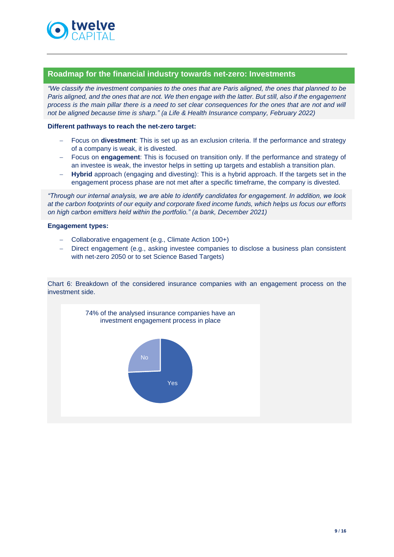

## <span id="page-8-0"></span>**Roadmap for the financial industry towards net-zero: Investments**

*"We classify the investment companies to the ones that are Paris aligned, the ones that planned to be Paris aligned, and the ones that are not. We then engage with the latter. But still, also if the engagement process is the main pillar there is a need to set clear consequences for the ones that are not and will not be aligned because time is sharp." (a Life & Health Insurance company, February 2022)*

### **Different pathways to reach the net-zero target:**

- − Focus on **divestment**: This is set up as an exclusion criteria. If the performance and strategy of a company is weak, it is divested.
- − Focus on **engagement**: This is focused on transition only. If the performance and strategy of an investee is weak, the investor helps in setting up targets and establish a transition plan.
- **Hybrid** approach (engaging and divesting): This is a hybrid approach. If the targets set in the engagement process phase are not met after a specific timeframe, the company is divested.

*"Through our internal analysis, we are able to identify candidates for engagement. In addition, we look at the carbon footprints of our equity and corporate fixed income funds, which helps us focus our efforts on high carbon emitters held within the portfolio." (a bank, December 2021)*

### **Engagement types:**

- − Collaborative engagement (e.g., Climate Action 100+)
- − Direct engagement (e.g., asking investee companies to disclose a business plan consistent with net-zero 2050 or to set Science Based Targets)

Chart 6: Breakdown of the considered insurance companies with an engagement process on the investment side.

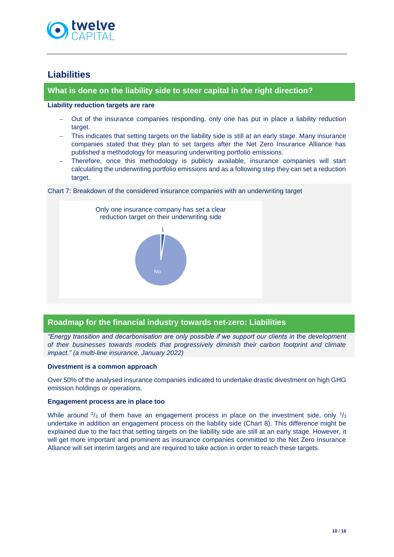

## <span id="page-9-0"></span>**Liabilities**

## <span id="page-9-1"></span>**What is done on the liability side to steer capital in the right direction?**

#### **Liability reduction targets are rare**

- Out of the insurance companies responding, only one has put in place a liability reduction target.
- − This indicates that setting targets on the liability side is still at an early stage. Many insurance companies stated that they plan to set targets after the Net Zero Insurance Alliance has published a methodology for measuring underwriting portfolio emissions.
- Therefore, once this methodology is publicly available, insurance companies will start calculating the underwriting portfolio emissions and as a following step they can set a reduction target.



Chart 7: Breakdown of the considered insurance companies with an underwriting target

## <span id="page-9-2"></span>**Roadmap for the financial industry towards net-zero: Liabilities**

*"Energy transition and decarbonisation are only possible if we support our clients in the development of their businesses towards models that progressively diminish their carbon footprint and climate impact." (a multi-line insurance, January 2022)*

## **Divestment is a common approach**

Over 50% of the analysed insurance companies indicated to undertake drastic divestment on high GHG emission holdings or operations.

## **Engagement process are in place too**

While around  $\frac{2}{3}$  of them have an engagement process in place on the investment side, only  $\frac{1}{3}$ undertake in addition an engagement process on the liability side (Chart 8). This difference might be explained due to the fact that setting targets on the liability side are still at an early stage. However, it will get more important and prominent as insurance companies committed to the Net Zero Insurance Alliance will set interim targets and are required to take action in order to reach these targets.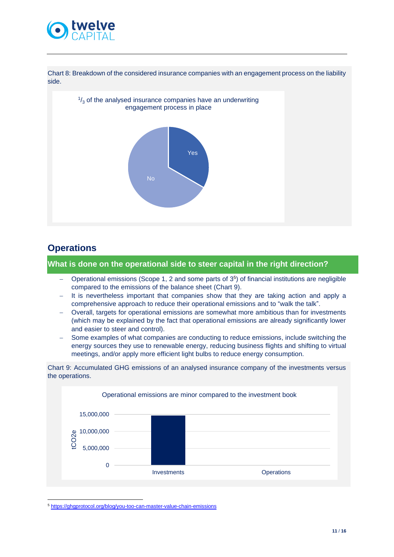

Chart 8: Breakdown of the considered insurance companies with an engagement process on the liability side.



## <span id="page-10-0"></span>**Operations**

<span id="page-10-1"></span>**What is done on the operational side to steer capital in the right direction?**

- − Operational emissions (Scope 1, 2 and some parts of 3<sup>5</sup> ) of financial institutions are negligible compared to the emissions of the balance sheet (Chart 9).
- It is nevertheless important that companies show that they are taking action and apply a comprehensive approach to reduce their operational emissions and to "walk the talk".
- − Overall, targets for operational emissions are somewhat more ambitious than for investments (which may be explained by the fact that operational emissions are already significantly lower and easier to steer and control).
- Some examples of what companies are conducting to reduce emissions, include switching the energy sources they use to renewable energy, reducing business flights and shifting to virtual meetings, and/or apply more efficient light bulbs to reduce energy consumption.

Chart 9: Accumulated GHG emissions of an analysed insurance company of the investments versus the operations.



<sup>5</sup> <https://ghgprotocol.org/blog/you-too-can-master-value-chain-emissions>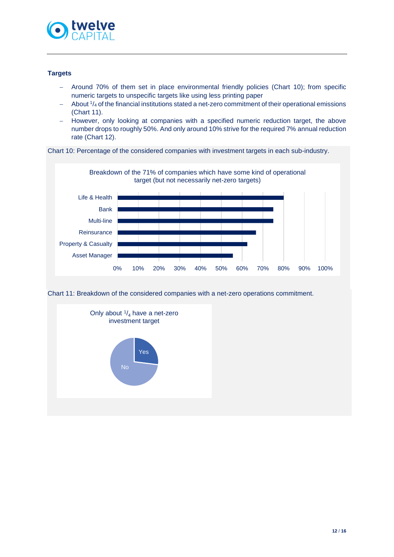

### **Targets**

- − Around 70% of them set in place environmental friendly policies (Chart 10); from specific numeric targets to unspecific targets like using less printing paper
- − About <sup>1</sup> /<sup>4</sup> of the financial institutions stated a net-zero commitment of their operational emissions (Chart 11).
- − However, only looking at companies with a specified numeric reduction target, the above number drops to roughly 50%. And only around 10% strive for the required 7% annual reduction rate (Chart 12).

Chart 10: Percentage of the considered companies with investment targets in each sub-industry.



Chart 11: Breakdown of the considered companies with a net-zero operations commitment.

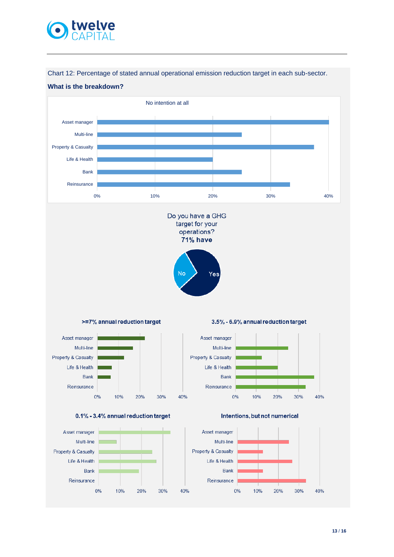

Chart 12: Percentage of stated annual operational emission reduction target in each sub-sector.

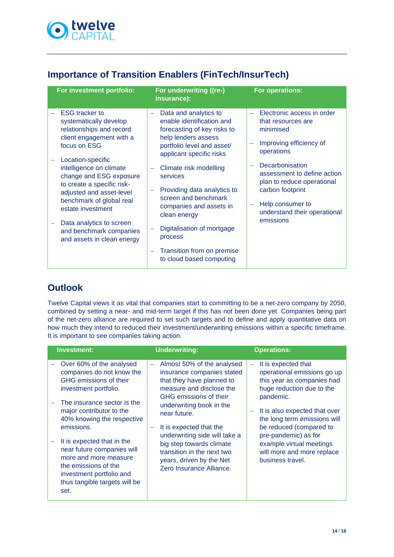

## <span id="page-13-0"></span>**Importance of Transition Enablers (FinTech/InsurTech)**

| For investment portfolio:                                                                                                                                                                                                                                                                                                                                                                          | For underwriting ((re-)<br>insurance):                                                                                                                                                                                                                                                                                                                                                                        | For operations:                                                                                                                                                                                                                                                             |
|----------------------------------------------------------------------------------------------------------------------------------------------------------------------------------------------------------------------------------------------------------------------------------------------------------------------------------------------------------------------------------------------------|---------------------------------------------------------------------------------------------------------------------------------------------------------------------------------------------------------------------------------------------------------------------------------------------------------------------------------------------------------------------------------------------------------------|-----------------------------------------------------------------------------------------------------------------------------------------------------------------------------------------------------------------------------------------------------------------------------|
| <b>ESG</b> tracker to<br>systematically develop<br>relationships and record<br>client engagement with a<br>focus on ESG<br>Location-specific<br>intelligence on climate<br>change and ESG exposure<br>to create a specific risk-<br>adjusted and asset-level<br>benchmark of global real<br>estate investment<br>Data analytics to screen<br>and benchmark companies<br>and assets in clean energy | Data and analytics to<br>enable identification and<br>forecasting of key risks to<br>help lenders assess<br>portfolio level and asset/<br>applicant specific risks<br>Climate risk modelling<br>services<br>Providing data analytics to<br>screen and benchmark<br>companies and assets in<br>clean energy<br>Digitalisation of mortgage<br>process<br>Transition from on premise<br>to cloud based computing | Electronic access in order<br>that resources are<br>minimised<br>Improving efficiency of<br>operations<br>Decarbonisation<br>assessment to define action<br>plan to reduce operational<br>carbon footprint<br>Help consumer to<br>understand their operational<br>emissions |

## <span id="page-13-1"></span>**Outlook**

Twelve Capital views it as vital that companies start to committing to be a net-zero company by 2050, combined by setting a near- and mid-term target if this has not been done yet. Companies being part of the net-zero alliance are required to set such targets and to define and apply quantitative data on how much they intend to reduced their investment/underwriting emissions within a specific timeframe. It is important to see companies taking action.

| Investment:                                                                                                                                                                                                                                                                                                                                                                                       | <b>Underwriting:</b>                                                                                                                                                                                                                                                                                                                                                       | <b>Operations:</b>                                                                                                                                                                                                                                                                                                           |
|---------------------------------------------------------------------------------------------------------------------------------------------------------------------------------------------------------------------------------------------------------------------------------------------------------------------------------------------------------------------------------------------------|----------------------------------------------------------------------------------------------------------------------------------------------------------------------------------------------------------------------------------------------------------------------------------------------------------------------------------------------------------------------------|------------------------------------------------------------------------------------------------------------------------------------------------------------------------------------------------------------------------------------------------------------------------------------------------------------------------------|
| Over 60% of the analysed<br>companies do not know the<br>GHG emissions of their<br>investment portfolio.<br>The insurance sector is the<br>major contributor to the<br>40% knowing the respective<br>emissions.<br>It is expected that in the<br>near future companies will<br>more and more measure<br>the emissions of the<br>investment portfolio and<br>thus tangible targets will be<br>set. | Almost 50% of the analysed<br>÷<br>insurance companies stated<br>that they have planned to<br>measure and disclose the<br>GHG emissions of their<br>underwriting book in the<br>near future.<br>It is expected that the<br>underwriting side will take a<br>big step towards climate<br>transition in the next two<br>years, driven by the Net<br>Zero Insurance Alliance. | It is expected that<br>operational emissions go up<br>this year as companies had<br>huge reduction due to the<br>pandemic.<br>It is also expected that over<br>the long term emissions will<br>be reduced (compared to<br>pre-pandemic) as for<br>example virtual meetings<br>will more and more replace<br>business travel. |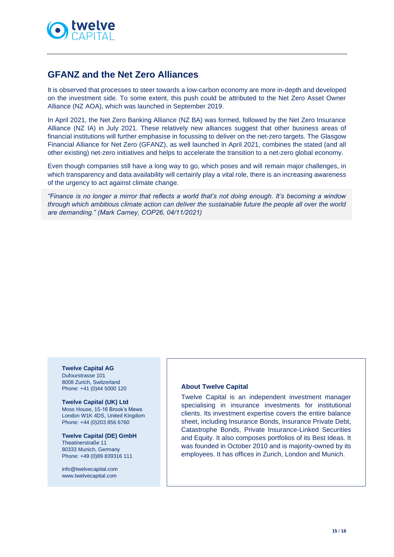

## <span id="page-14-0"></span>**GFANZ and the Net Zero Alliances**

It is observed that processes to steer towards a low-carbon economy are more in-depth and developed on the investment side. To some extent, this push could be attributed to the Net Zero Asset Owner Alliance (NZ AOA), which was launched in September 2019.

In April 2021, the Net Zero Banking Alliance (NZ BA) was formed, followed by the Net Zero Insurance Alliance (NZ IA) in July 2021. These relatively new alliances suggest that other business areas of financial institutions will further emphasise in focussing to deliver on the net-zero targets. The Glasgow Financial Alliance for Net Zero (GFANZ), as well launched in April 2021, combines the stated (and all other existing) net-zero initiatives and helps to accelerate the transition to a net-zero global economy.

Even though companies still have a long way to go, which poses and will remain major challenges, in which transparency and data availability will certainly play a vital role, there is an increasing awareness of the urgency to act against climate change.

*"Finance is no longer a mirror that reflects a world that's not doing enough. It's becoming a window through which ambitious climate action can deliver the sustainable future the people all over the world are demanding." (Mark Carney, COP26, 04/11/2021)*

**Twelve Capital AG** Dufourstrasse 101 8008 Zurich, Switzerland Phone: +41 (0)44 5000 120

**Twelve Capital (UK) Ltd** Moss House, 15-16 Brook's Mews London W1K 4DS, United Kingdom Phone: +44 (0)203 856 6760

**Twelve Capital (DE) GmbH** Theatinerstraße 11 80333 Munich, Germany Phone: +49 (0)89 839316 111

[info@twelvecapital.com](mailto:info@twelvecapital.com) [www.twelvecapital.com](http://www.twelvecapital.com/)

#### **About Twelve Capital**

Twelve Capital is an independent investment manager specialising in insurance investments for institutional clients. Its investment expertise covers the entire balance sheet, including Insurance Bonds, Insurance Private Debt, Catastrophe Bonds, Private Insurance-Linked Securities and Equity. It also composes portfolios of its Best Ideas. It was founded in October 2010 and is majority-owned by its employees. It has offices in Zurich, London and Munich.